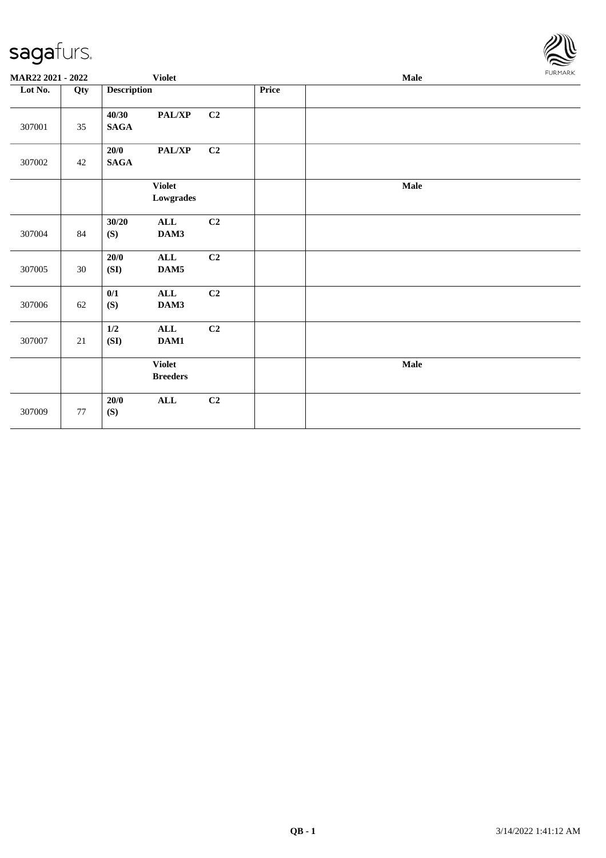

| MAR22 2021 - 2022 |        | <b>Violet</b>            |                                  |    |       | Male |  |  |  |
|-------------------|--------|--------------------------|----------------------------------|----|-------|------|--|--|--|
| Lot No.           | Qty    | <b>Description</b>       |                                  |    | Price |      |  |  |  |
| 307001            | 35     | 40/30<br>$\mathbf{SAGA}$ | PAL/XP                           | C2 |       |      |  |  |  |
| 307002            | 42     | 20/0<br><b>SAGA</b>      | $\mathbf{PAL}/\mathbf{XP}$       | C2 |       |      |  |  |  |
|                   |        |                          | <b>Violet</b><br>Lowgrades       |    |       | Male |  |  |  |
| 307004            | 84     | 30/20<br>(S)             | ALL<br>DAM3                      | C2 |       |      |  |  |  |
| 307005            | 30     | 20/0<br>(SI)             | $\mathbf{ALL}$<br>DAM5           | C2 |       |      |  |  |  |
| 307006            | 62     | 0/1<br>(S)               | $\mathbf{ALL}$<br>DAM3           | C2 |       |      |  |  |  |
| 307007            | 21     | $1/2$<br>(SI)            | $\mathbf{ALL}$<br>DAM1           | C2 |       |      |  |  |  |
|                   |        |                          | <b>Violet</b><br>$\bf B readers$ |    |       | Male |  |  |  |
| 307009            | $77\,$ | 20/0<br>(S)              | $\mathbf{ALL}$                   | C2 |       |      |  |  |  |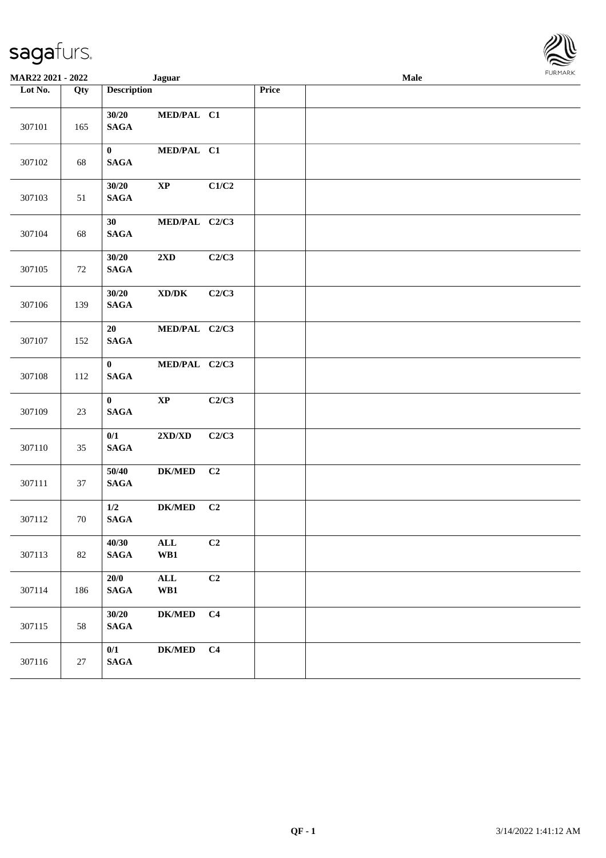| <b>MAR22 2021 - 2022</b> |     | <b>Jaguar</b>                                               |                                  |                |       | Male |  |
|--------------------------|-----|-------------------------------------------------------------|----------------------------------|----------------|-------|------|--|
| Lot No.                  | Qty | <b>Description</b>                                          |                                  |                | Price |      |  |
| 307101                   | 165 | 30/20<br><b>SAGA</b>                                        | MED/PAL C1                       |                |       |      |  |
| 307102                   | 68  | $\bf{0}$<br><b>SAGA</b>                                     | MED/PAL C1                       |                |       |      |  |
| 307103                   | 51  | 30/20<br>$\bold{XP}$<br><b>SAGA</b>                         |                                  | C1/C2          |       |      |  |
| 307104                   | 68  | 30<br>$\mathbf{SAGA}$                                       | MED/PAL C2/C3                    |                |       |      |  |
| 307105                   | 72  | 30/20<br>$2\mathbf{X}\mathbf{D}$<br><b>SAGA</b>             |                                  | C2/C3          |       |      |  |
| 307106                   | 139 | 30/20<br>$\bold{X}\bold{D}/\bold{D}\bold{K}$<br><b>SAGA</b> |                                  | C2/C3          |       |      |  |
| 307107                   | 152 | 20<br><b>SAGA</b>                                           | MED/PAL C2/C3                    |                |       |      |  |
| 307108                   | 112 | $\bf{0}$<br><b>SAGA</b>                                     | MED/PAL C2/C3                    |                |       |      |  |
| 307109                   | 23  | $\bf{0}$<br>$\bold{XP}$<br><b>SAGA</b>                      |                                  | C2/C3          |       |      |  |
| 307110                   | 35  | 0/1<br>$\mathbf{SAGA}$                                      | $2{\bf X}{\bf D}/{\bf X}{\bf D}$ | C2/C3          |       |      |  |
| 307111                   | 37  | 50/40<br><b>SAGA</b>                                        | <b>DK/MED</b>                    | C <sub>2</sub> |       |      |  |
| 307112                   | 70  | $1/2$<br><b>SAGA</b>                                        | <b>DK/MED</b>                    | C <sub>2</sub> |       |      |  |
| 307113                   | 82  | 40/30<br>$\mathbf{ALL}$<br><b>SAGA</b><br>WB1               |                                  | C <sub>2</sub> |       |      |  |
| 307114                   | 186 | 20/0<br>$\mathbf{ALL}$<br><b>SAGA</b><br>WB1                |                                  | C2             |       |      |  |
| 307115                   | 58  | 30/20<br><b>SAGA</b>                                        | <b>DK/MED</b>                    | C <sub>4</sub> |       |      |  |
| 307116                   | 27  | 0/1<br>$\mathbf{SAGA}$                                      | <b>DK/MED</b>                    | C <sub>4</sub> |       |      |  |

**FURMA**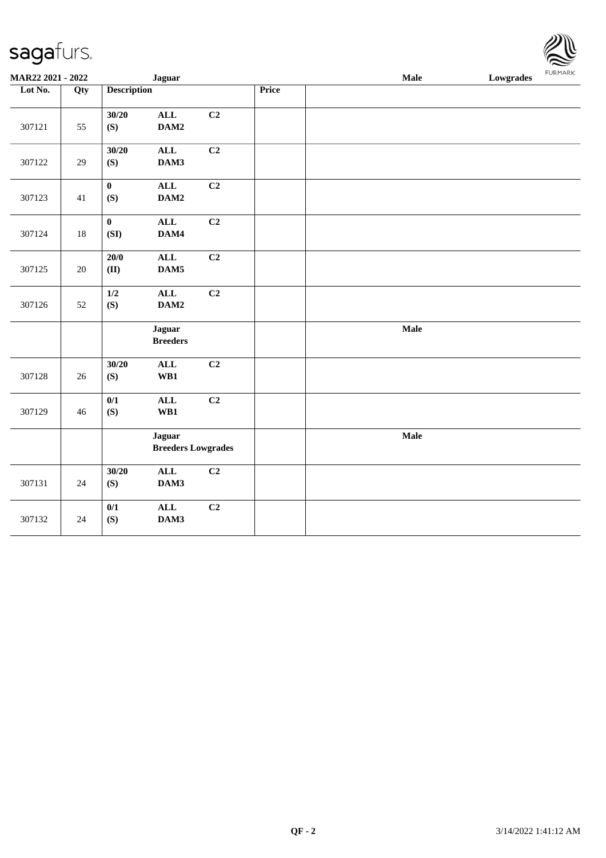| MAR22 2021 - 2022 |        |                                            | <b>Jaguar</b>                    |                |       | Male | FURMARK<br><b>Lowgrades</b> |
|-------------------|--------|--------------------------------------------|----------------------------------|----------------|-------|------|-----------------------------|
| Lot No.           | Qty    | <b>Description</b>                         |                                  |                | Price |      |                             |
| 307121            | 55     | 30/20<br>(S)                               | ALL<br>DAM2                      | C <sub>2</sub> |       |      |                             |
| 307122            | 29     | 30/20<br>(S)                               | <b>ALL</b><br>DAM3               | C <sub>2</sub> |       |      |                             |
| 307123            | 41     | $\mathbf{0}$<br>(S)                        | ALL<br>DAM2                      | C2             |       |      |                             |
| 307124            | $18\,$ | $\pmb{0}$<br>(SI)                          | <b>ALL</b><br>DAM4               | C2             |       |      |                             |
| 307125            | $20\,$ | 20/0<br>(II)                               | ALL<br>DAM5                      | C <sub>2</sub> |       |      |                             |
| 307126            | 52     | $1/2$<br>(S)                               | $\mathbf{ALL}$<br>DAM2           | C2             |       |      |                             |
|                   |        |                                            | <b>Jaguar</b><br><b>Breeders</b> |                |       | Male |                             |
| 307128            | 26     | 30/20<br>(S)                               | $\mathbf{ALL}$<br>WB1            | C2             |       |      |                             |
| 307129            | 46     | 0/1<br>(S)                                 | <b>ALL</b><br>WB1                | C2             |       |      |                             |
|                   |        | <b>Jaguar</b><br><b>Breeders Lowgrades</b> |                                  |                |       | Male |                             |
| 307131            | 24     | 30/20<br>(S)                               | $\mathbf{ALL}$<br>DAM3           | C2             |       |      |                             |
| 307132            | 24     | 0/1<br>(S)                                 | ALL<br>DAM3                      | C2             |       |      |                             |

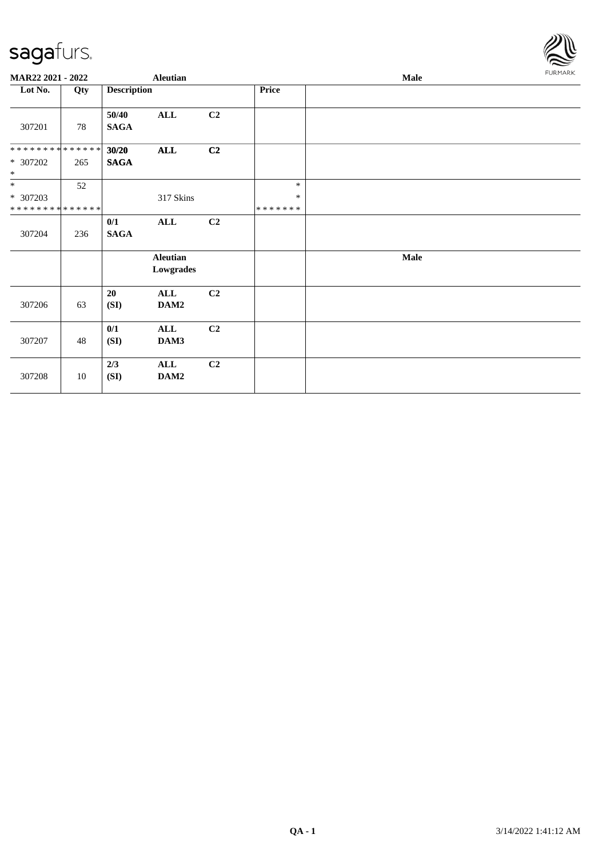

| MAR22 2021 - 2022                    |     | <b>Aleutian</b>      |                              |                |                             | Male |             |  |  |  |
|--------------------------------------|-----|----------------------|------------------------------|----------------|-----------------------------|------|-------------|--|--|--|
| Lot No.                              | Qty | <b>Description</b>   |                              |                | Price                       |      |             |  |  |  |
| 307201                               | 78  | 50/40<br><b>SAGA</b> | ALL                          | C <sub>2</sub> |                             |      |             |  |  |  |
| **************<br>* 307202<br>$\ast$ | 265 | 30/20<br><b>SAGA</b> | $\mathbf{ALL}$               | C <sub>2</sub> |                             |      |             |  |  |  |
| $\ast$<br>* 307203<br>************** | 52  |                      | 317 Skins                    |                | $\ast$<br>$\ast$<br>******* |      |             |  |  |  |
| 307204                               | 236 | 0/1<br><b>SAGA</b>   | ALL                          | C2             |                             |      |             |  |  |  |
|                                      |     |                      | <b>Aleutian</b><br>Lowgrades |                |                             |      | <b>Male</b> |  |  |  |
| 307206                               | 63  | 20<br>(SI)           | ALL<br>DAM2                  | C2             |                             |      |             |  |  |  |
| 307207                               | 48  | 0/1<br>(SI)          | <b>ALL</b><br>DAM3           | C2             |                             |      |             |  |  |  |
| 307208                               | 10  | 2/3<br>(SI)          | <b>ALL</b><br>DAM2           | C2             |                             |      |             |  |  |  |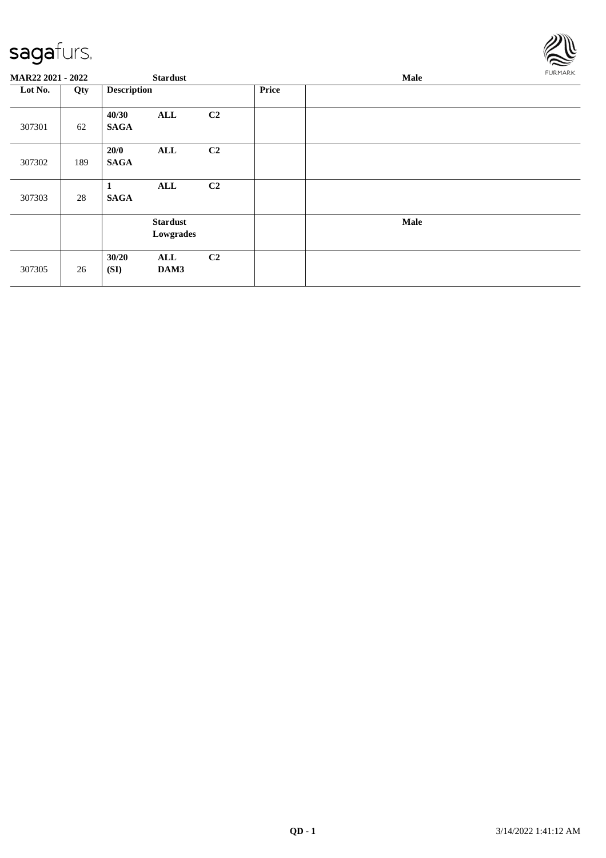

| MAR22 2021 - 2022 |     | <b>Stardust</b>      |                              |                |              | Male |  |  |  |
|-------------------|-----|----------------------|------------------------------|----------------|--------------|------|--|--|--|
| Lot No.           | Qty | <b>Description</b>   |                              |                | <b>Price</b> |      |  |  |  |
| 307301            | 62  | 40/30<br><b>SAGA</b> | ALL                          | C <sub>2</sub> |              |      |  |  |  |
| 307302            | 189 | 20/0<br><b>SAGA</b>  | ALL                          | C <sub>2</sub> |              |      |  |  |  |
| 307303            | 28  | <b>SAGA</b>          | ALL                          | C <sub>2</sub> |              |      |  |  |  |
|                   |     |                      | <b>Stardust</b><br>Lowgrades |                |              | Male |  |  |  |
| 307305            | 26  | 30/20<br>(SI)        | ALL<br>DAM3                  | C <sub>2</sub> |              |      |  |  |  |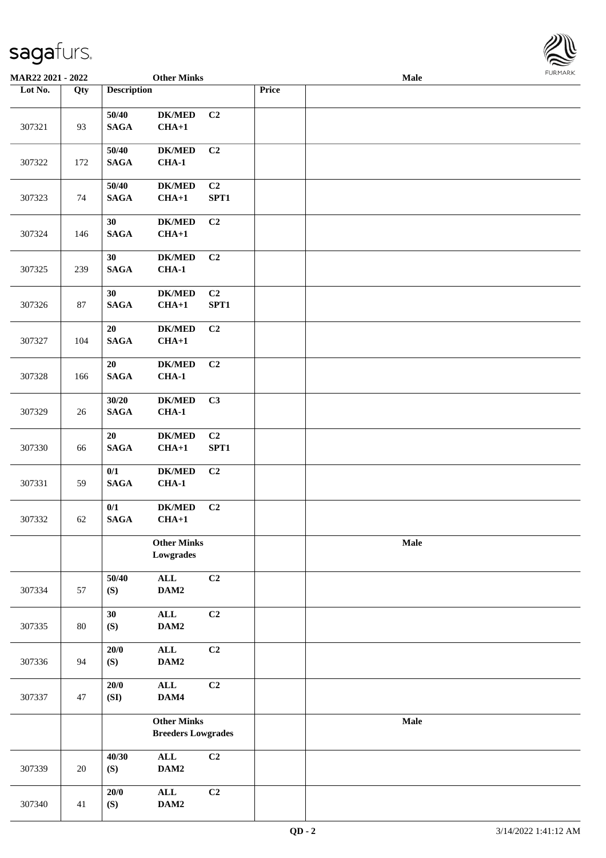

| MAR22 2021 - 2022 |     |                      | <b>Other Minks</b>                              |                |       | Male |  |
|-------------------|-----|----------------------|-------------------------------------------------|----------------|-------|------|--|
| Lot No.           | Qty | <b>Description</b>   |                                                 |                | Price |      |  |
| 307321            | 93  | 50/40<br><b>SAGA</b> | <b>DK/MED</b><br>$CHA+1$                        | C <sub>2</sub> |       |      |  |
| 307322            | 172 | 50/40<br><b>SAGA</b> | $DK/MED$<br>$CHA-1$                             | C <sub>2</sub> |       |      |  |
| 307323            | 74  | 50/40<br><b>SAGA</b> | <b>DK/MED</b><br>$CHA+1$                        | C2<br>SPT1     |       |      |  |
| 307324            | 146 | 30<br><b>SAGA</b>    | <b>DK/MED</b><br>$CHA+1$                        | C2             |       |      |  |
| 307325            | 239 | 30<br><b>SAGA</b>    | <b>DK/MED</b><br>$CHA-1$                        | C <sub>2</sub> |       |      |  |
| 307326            | 87  | 30<br><b>SAGA</b>    | <b>DK/MED</b><br>$CHA+1$                        | C2<br>SPT1     |       |      |  |
| 307327            | 104 | 20<br><b>SAGA</b>    | <b>DK/MED</b><br>$CHA+1$                        | C2             |       |      |  |
| 307328            | 166 | 20<br><b>SAGA</b>    | $\mathbf{DK}/\mathbf{MED}$<br>$CHA-1$           | C <sub>2</sub> |       |      |  |
| 307329            | 26  | 30/20<br><b>SAGA</b> | <b>DK/MED</b><br>$CHA-1$                        | C3             |       |      |  |
| 307330            | 66  | 20<br><b>SAGA</b>    | <b>DK/MED</b><br>$CHA+1$                        | C2<br>SPT1     |       |      |  |
| 307331            | 59  | 0/1<br><b>SAGA</b>   | <b>DK/MED</b><br>$CHA-1$                        | C2             |       |      |  |
| 307332            | 62  | 0/1<br><b>SAGA</b>   | <b>DK/MED</b><br>$CHA+1$                        | C <sub>2</sub> |       |      |  |
|                   |     |                      | <b>Other Minks</b><br>Lowgrades                 |                |       | Male |  |
| 307334            | 57  | 50/40<br>(S)         | $\mathbf{ALL}$<br>DAM2                          | C2             |       |      |  |
| 307335            | 80  | 30<br>(S)            | $\mathbf{ALL}$<br>$\mathbf{DAM2}$               | C2             |       |      |  |
| 307336            | 94  | 20/0<br>(S)          | ALL<br>DAM2                                     | C2             |       |      |  |
| 307337            | 47  | 20/0<br>(SI)         | $\mathbf{ALL}$<br>DAM4                          | C2             |       |      |  |
|                   |     |                      | <b>Other Minks</b><br><b>Breeders Lowgrades</b> |                |       | Male |  |
| 307339            | 20  | 40/30<br>(S)         | $\mathbf{ALL}$<br>DAM2                          | C2             |       |      |  |
| 307340            | 41  | 20/0<br>(S)          | $\mathbf{ALL}$<br>DAM2                          | C2             |       |      |  |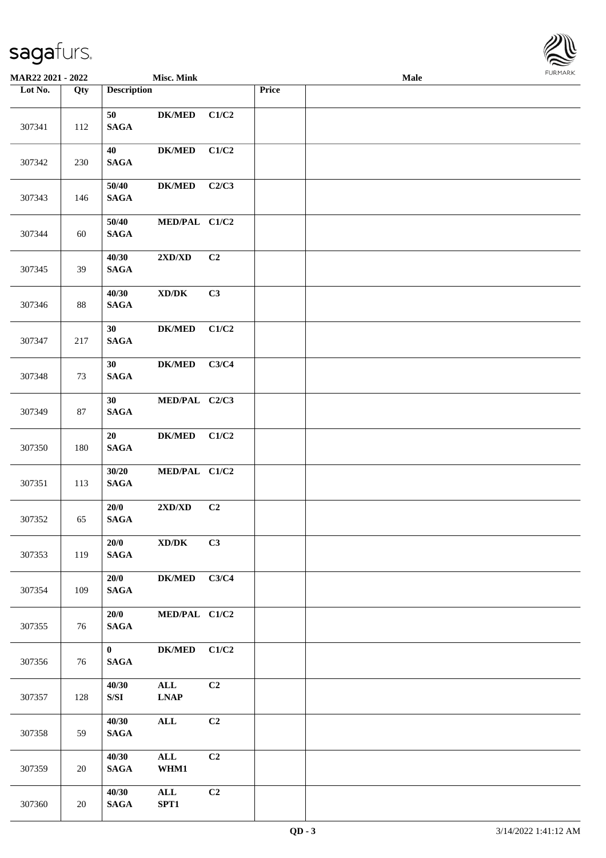

| <b>MAR22 2021 - 2022</b> |     |                                 | <b>Misc. Mink</b>                   |       |       | Male |  |
|--------------------------|-----|---------------------------------|-------------------------------------|-------|-------|------|--|
| Lot No.                  | Qty | <b>Description</b>              |                                     |       | Price |      |  |
| 307341                   | 112 | 50<br><b>SAGA</b>               | <b>DK/MED</b>                       | C1/C2 |       |      |  |
| 307342                   | 230 | 40<br><b>SAGA</b>               | <b>DK/MED</b>                       | C1/C2 |       |      |  |
| 307343                   | 146 | 50/40<br><b>SAGA</b>            | <b>DK/MED</b>                       | C2/C3 |       |      |  |
| 307344                   | 60  | 50/40<br><b>SAGA</b>            | MED/PAL C1/C2                       |       |       |      |  |
| 307345                   | 39  | 40/30<br><b>SAGA</b>            | 2XD/XD                              | C2    |       |      |  |
| 307346                   | 88  | 40/30<br><b>SAGA</b>            | $\bold{X}\bold{D}/\bold{D}\bold{K}$ | C3    |       |      |  |
| 307347                   | 217 | 30<br><b>SAGA</b>               | <b>DK/MED</b>                       | C1/C2 |       |      |  |
| 307348                   | 73  | 30<br><b>SAGA</b>               | <b>DK/MED</b>                       | C3/C4 |       |      |  |
| 307349                   | 87  | 30<br><b>SAGA</b>               | MED/PAL C2/C3                       |       |       |      |  |
| 307350                   | 180 | 20<br>$\mathbf{SAGA}$           | <b>DK/MED</b>                       | C1/C2 |       |      |  |
| 307351                   | 113 | 30/20<br><b>SAGA</b>            | MED/PAL C1/C2                       |       |       |      |  |
| 307352                   | 65  | 20/0<br><b>SAGA</b>             | 2XD/XD                              | C2    |       |      |  |
| 307353                   | 119 | 20/0<br><b>SAGA</b>             | $\bold{X}\bold{D}/\bold{D}\bold{K}$ | C3    |       |      |  |
| 307354                   | 109 | 20/0<br><b>SAGA</b>             | <b>DK/MED</b>                       | C3/C4 |       |      |  |
| 307355                   | 76  | 20/0<br><b>SAGA</b>             | MED/PAL C1/C2                       |       |       |      |  |
| 307356                   | 76  | $\mathbf{0}$<br>$\mathbf{SAGA}$ | <b>DK/MED</b>                       | C1/C2 |       |      |  |
| 307357                   | 128 | 40/30<br>S/SI                   | $\mathbf{ALL}$<br><b>LNAP</b>       | C2    |       |      |  |
| 307358                   | 59  | 40/30<br><b>SAGA</b>            | ALL                                 | C2    |       |      |  |
| 307359                   | 20  | 40/30<br><b>SAGA</b>            | $\mathbf{ALL}$<br>WHM1              | C2    |       |      |  |
| 307360                   | 20  | 40/30<br><b>SAGA</b>            | $\mathbf{ALL}$<br>SPT1              | C2    |       |      |  |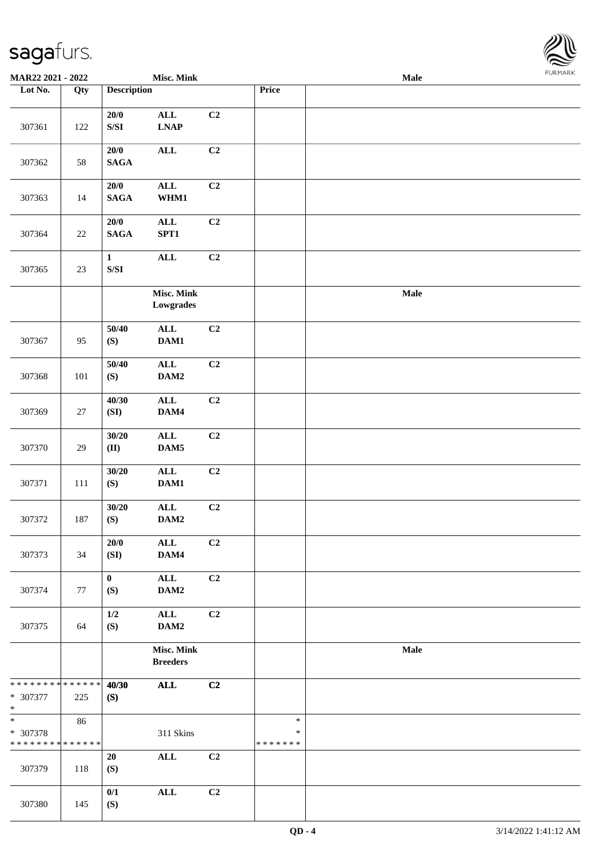

| <b>MAR22 2021 - 2022</b>                                     |         |                                                                                                       | <b>Misc. Mink</b>             |    |                                   | Male |  |
|--------------------------------------------------------------|---------|-------------------------------------------------------------------------------------------------------|-------------------------------|----|-----------------------------------|------|--|
| Lot No.                                                      | Qty     | <b>Description</b>                                                                                    |                               |    | Price                             |      |  |
| 307361                                                       | 122     | $20/0$<br>$\ensuremath{\mathrm{S}}\xspace/\ensuremath{\mathrm{S}}\xspace\ensuremath{\mathrm{I}}$      | $\mathbf{ALL}$<br><b>LNAP</b> | C2 |                                   |      |  |
| 307362                                                       | 58      | 20/0<br><b>SAGA</b>                                                                                   | $\mathbf{ALL}$                | C2 |                                   |      |  |
| 307363                                                       | 14      | $20/0$<br><b>SAGA</b>                                                                                 | $\mathbf{ALL}$<br>WHM1        | C2 |                                   |      |  |
| 307364                                                       | 22      | $20/0$<br><b>SAGA</b>                                                                                 | $\mathbf{ALL}$<br>SPT1        | C2 |                                   |      |  |
| 307365                                                       | $23\,$  | $\mathbf 1$<br>$\ensuremath{\mathrm{S}}\xspace/\ensuremath{\mathrm{S}}\xspace\ensuremath{\mathrm{I}}$ | <b>ALL</b>                    | C2 |                                   |      |  |
|                                                              |         |                                                                                                       | Misc. Mink<br>Lowgrades       |    |                                   | Male |  |
| 307367                                                       | 95      | 50/40<br>(S)                                                                                          | $\mathbf{ALL}$<br>DAM1        | C2 |                                   |      |  |
| 307368                                                       | 101     | 50/40<br>(S)                                                                                          | $\mathbf{ALL}$<br>DAM2        | C2 |                                   |      |  |
| 307369                                                       | $27\,$  | 40/30<br>(SI)                                                                                         | $\mathbf{ALL}$<br>DAM4        | C2 |                                   |      |  |
| 307370                                                       | 29      | 30/20<br>(II)                                                                                         | ALL<br>DAM5                   | C2 |                                   |      |  |
| 307371                                                       | $111\,$ | 30/20<br>(S)                                                                                          | $\mathbf{ALL}$<br>DAM1        | C2 |                                   |      |  |
| 307372                                                       | 187     | 30/20<br>(S)                                                                                          | $\mathbf{ALL}$<br>DAM2        | C2 |                                   |      |  |
| 307373                                                       | 34      | 20/0<br>(SI)                                                                                          | $\mathbf{ALL}$<br>DAM4        | C2 |                                   |      |  |
| 307374                                                       | 77      | $\mathbf{0}$<br>(S)                                                                                   | $\mathbf{ALL}$<br>DAM2        | C2 |                                   |      |  |
| 307375                                                       | 64      | 1/2<br>(S)                                                                                            | $\mathbf{ALL}$<br>DAM2        | C2 |                                   |      |  |
|                                                              |         |                                                                                                       | Misc. Mink<br><b>Breeders</b> |    |                                   | Male |  |
| * * * * * * * * * * * * * *<br>* 307377<br>$\ast$            | 225     | 40/30<br>(S)                                                                                          | ALL                           | C2 |                                   |      |  |
| $\overline{\ast}$<br>* 307378<br>* * * * * * * * * * * * * * | 86      |                                                                                                       | 311 Skins                     |    | $\ast$<br>$\ast$<br>* * * * * * * |      |  |
| 307379                                                       | 118     | 20<br>(S)                                                                                             | $\mathbf{ALL}$                | C2 |                                   |      |  |
| 307380                                                       | 145     | 0/1<br>(S)                                                                                            | $\mathbf{ALL}$                | C2 |                                   |      |  |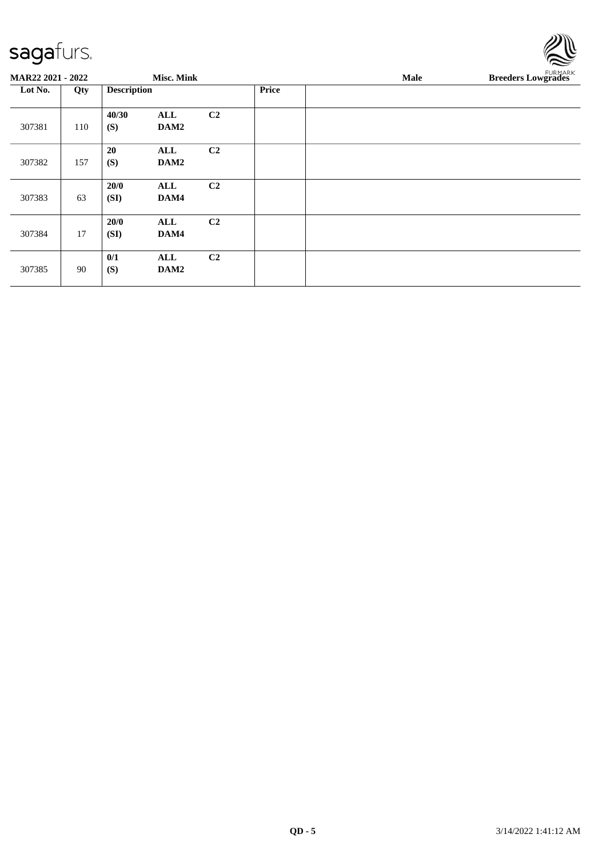| <b>MAR22 2021 - 2022</b><br><b>Misc. Mink</b><br>Male<br><b>Description</b><br><b>Price</b><br>Lot No.<br>Qty<br>40/30<br>C2<br>ALL<br>(S)<br>307381<br>110<br>DAM2<br>C2<br>20<br>ALL | $\sim$                    |  |
|----------------------------------------------------------------------------------------------------------------------------------------------------------------------------------------|---------------------------|--|
|                                                                                                                                                                                        | <b>Breeders Lowgrades</b> |  |
|                                                                                                                                                                                        |                           |  |
|                                                                                                                                                                                        |                           |  |
| (S)<br>307382<br>157<br>DAM2                                                                                                                                                           |                           |  |
| C <sub>2</sub><br>20/0<br>ALL<br>63<br>(SI)<br>DAM4<br>307383                                                                                                                          |                           |  |
| C <sub>2</sub><br>20/0<br>ALL<br>307384<br>17<br>(SI)<br>DAM4                                                                                                                          |                           |  |
| 0/1<br>C <sub>2</sub><br>ALL<br>90<br>(S)<br>DAM2<br>307385                                                                                                                            |                           |  |

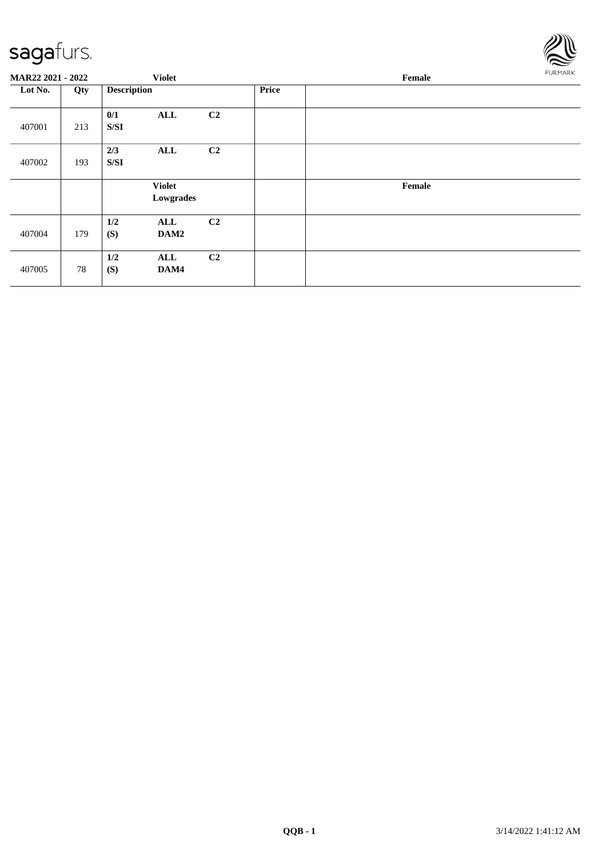

| MAR22 2021 - 2022 |     |                    | <b>Violet</b>              |                |              | Female |  |  |  |
|-------------------|-----|--------------------|----------------------------|----------------|--------------|--------|--|--|--|
| Lot No.           | Qty | <b>Description</b> |                            |                | <b>Price</b> |        |  |  |  |
| 407001            | 213 | 0/1<br>S/SI        | ALL                        | C2             |              |        |  |  |  |
| 407002            | 193 | 2/3<br>S/SI        | ALL                        | C2             |              |        |  |  |  |
|                   |     |                    | <b>Violet</b><br>Lowgrades |                |              | Female |  |  |  |
| 407004            | 179 | 1/2<br>(S)         | ALL<br>DAM2                | C2             |              |        |  |  |  |
| 407005            | 78  | 1/2<br>(S)         | ALL<br>DAM4                | C <sub>2</sub> |              |        |  |  |  |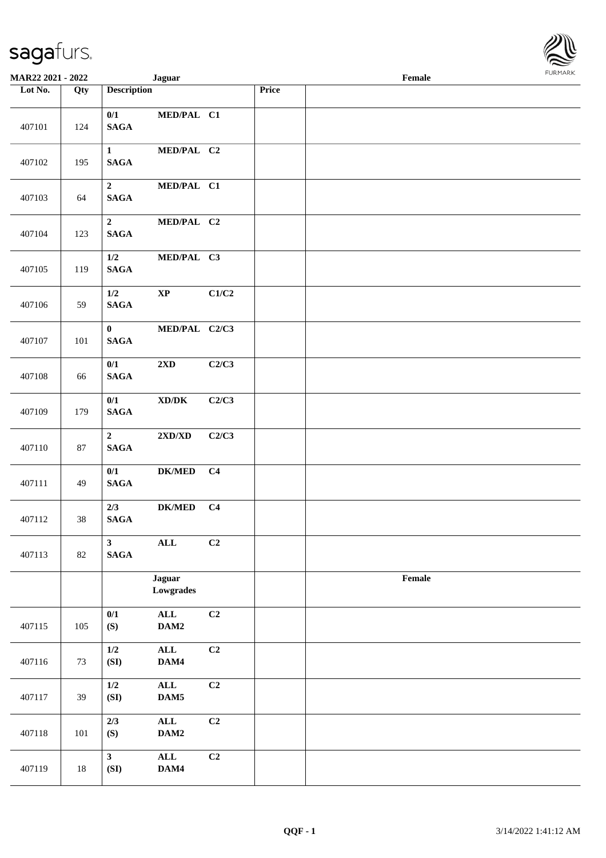| <b>MAR22 2021 - 2022</b> |        |                                            | <b>Jaguar</b>                                                |                 |       | Female |  |
|--------------------------|--------|--------------------------------------------|--------------------------------------------------------------|-----------------|-------|--------|--|
| Lot No.                  | Qty    | <b>Description</b>                         |                                                              |                 | Price |        |  |
| 407101                   | 124    | 0/1<br>$\mathbf{SAGA}$                     | MED/PAL C1                                                   |                 |       |        |  |
| 407102                   | 195    | $\mathbf{1}$<br>$\mathbf{SAGA}$            | MED/PAL C2                                                   |                 |       |        |  |
| 407103                   | 64     | $\overline{2}$<br><b>SAGA</b>              | MED/PAL C1                                                   |                 |       |        |  |
| 407104                   | 123    | $\mathbf{2}$<br>$\mathbf{SAGA}$            | MED/PAL C2                                                   |                 |       |        |  |
| 407105                   | 119    | 1/2<br>$\mathbf{SAGA}$                     | MED/PAL C3                                                   |                 |       |        |  |
| 407106                   | 59     | 1/2<br>$\mathbf{SAGA}$                     | $\bold{XP}$                                                  | C1/C2           |       |        |  |
| 407107                   | 101    | $\mathbf{0}$<br>$\mathbf{SAGA}$            | MED/PAL C2/C3                                                |                 |       |        |  |
| 407108                   | 66     | 0/1<br>$\mathbf{SAGA}$                     | $2\mathbf{X}\mathbf{D}$                                      | C2/C3           |       |        |  |
| 407109                   | 179    | 0/1<br>$\mathbf{SAGA}$                     | $\boldsymbol{\text{XD}}\boldsymbol{/}\boldsymbol{\text{DK}}$ | C2/C3           |       |        |  |
| 407110                   | $87\,$ | $\overline{2}$<br>$\mathbf{SAGA}$          | $2{\bf X}{\bf D}/{\bf X}{\bf D}$                             | C2/C3           |       |        |  |
| 407111                   | 49     | 0/1<br>$\mathbf{SAGA}$                     | ${\bf DK/MED}$                                               | C <sub>4</sub>  |       |        |  |
| 407112                   | 38     | 2/3<br>$\mathbf{SAGA}$                     | $DK/MED$                                                     | C <sub>4</sub>  |       |        |  |
| 407113                   | 82     | $\overline{\mathbf{3}}$<br>$\mathbf{SAGA}$ | $\mathbf{ALL}$                                               | C2              |       |        |  |
|                          |        |                                            | <b>Jaguar</b><br>Lowgrades                                   |                 |       | Female |  |
| 407115                   | 105    | 0/1<br>(S)                                 | $\mathbf{ALL}$<br>DAM2                                       | C2              |       |        |  |
| 407116                   | 73     | $1/2$<br>(SI)                              | $\mathbf{ALL}$<br>DAM4                                       | $\overline{C2}$ |       |        |  |
| 407117                   | 39     | $1/2$<br>(SI)                              | $\mathbf{ALL}$<br>$\mathbf{DAM5}$                            | C2              |       |        |  |
| 407118                   | 101    | 2/3<br>(S)                                 | $\mathbf{ALL}$<br>$\mathbf{DAM2}$                            | C2              |       |        |  |
| 407119                   | $18\,$ | 3 <sup>7</sup><br>(SI)                     | ALL<br>DAM4                                                  | C2              |       |        |  |

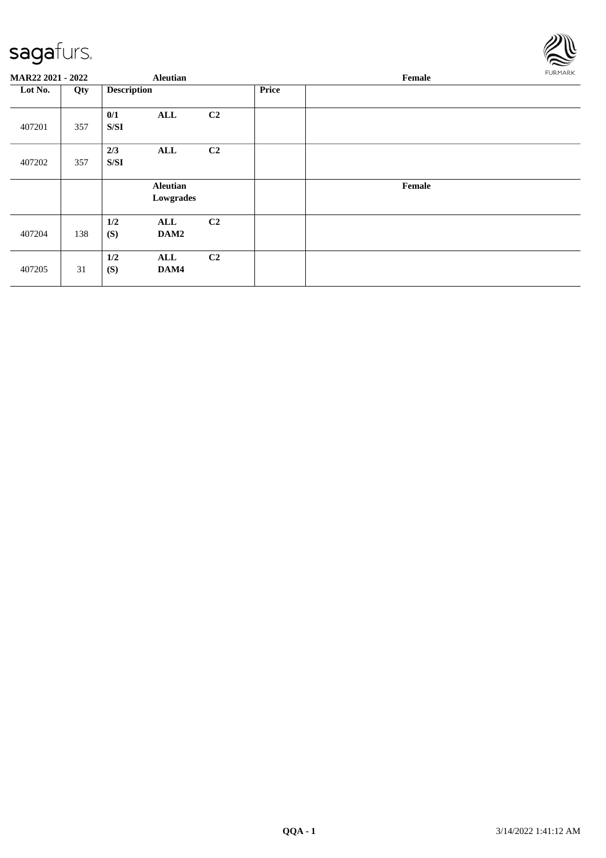

| MAR22 2021 - 2022 |     |                    | <b>Aleutian</b>              |                |              | Female |  |  |  |
|-------------------|-----|--------------------|------------------------------|----------------|--------------|--------|--|--|--|
| Lot No.           | Qty | <b>Description</b> |                              |                | <b>Price</b> |        |  |  |  |
| 407201            | 357 | 0/1<br>S/SI        | ALL                          | C <sub>2</sub> |              |        |  |  |  |
| 407202            | 357 | 2/3<br>S/SI        | ALL                          | C <sub>2</sub> |              |        |  |  |  |
|                   |     |                    | <b>Aleutian</b><br>Lowgrades |                |              | Female |  |  |  |
| 407204            | 138 | $1/2$<br>(S)       | ALL<br>DAM2                  | C2             |              |        |  |  |  |
| 407205            | 31  | 1/2<br>(S)         | ALL<br>DAM4                  | C <sub>2</sub> |              |        |  |  |  |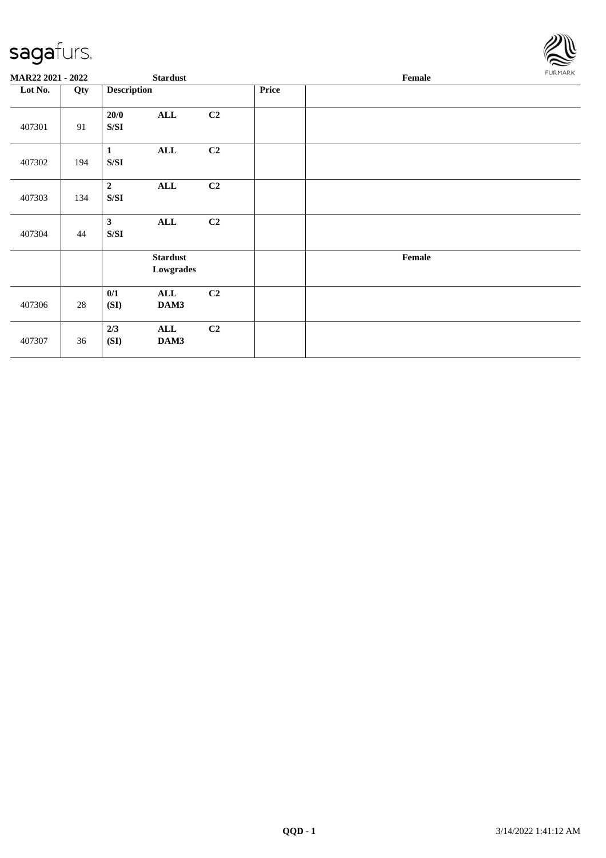

| MAR22 2021 - 2022 |     | <b>Stardust</b>                                                                                        |                              |    |       | Female                                      |  |  |
|-------------------|-----|--------------------------------------------------------------------------------------------------------|------------------------------|----|-------|---------------------------------------------|--|--|
| Lot No.           | Qty | <b>Description</b>                                                                                     |                              |    | Price |                                             |  |  |
| 407301            | 91  | 20/0<br>S/SI                                                                                           | $\mathbf{ALL}$               | C2 |       |                                             |  |  |
| 407302            | 194 | $\mathbf{1}$<br>S/SI                                                                                   | ALL                          | C2 |       |                                             |  |  |
| 407303            | 134 | $\overline{2}$<br>S/SI                                                                                 | ALL                          | C2 |       |                                             |  |  |
| 407304            | 44  | $\mathbf{3}$<br>$\ensuremath{\mathrm{S}}\xspace/\ensuremath{\mathrm{S}}\xspace\ensuremath{\mathrm{I}}$ | <b>ALL</b>                   | C2 |       |                                             |  |  |
|                   |     |                                                                                                        | <b>Stardust</b><br>Lowgrades |    |       | $\ensuremath{\textnormal{\textbf{Female}}}$ |  |  |
| 407306            | 28  | 0/1<br>(SI)                                                                                            | ALL<br>DAM3                  | C2 |       |                                             |  |  |
| 407307            | 36  | 2/3<br>(SI)                                                                                            | ALL<br>DAM3                  | C2 |       |                                             |  |  |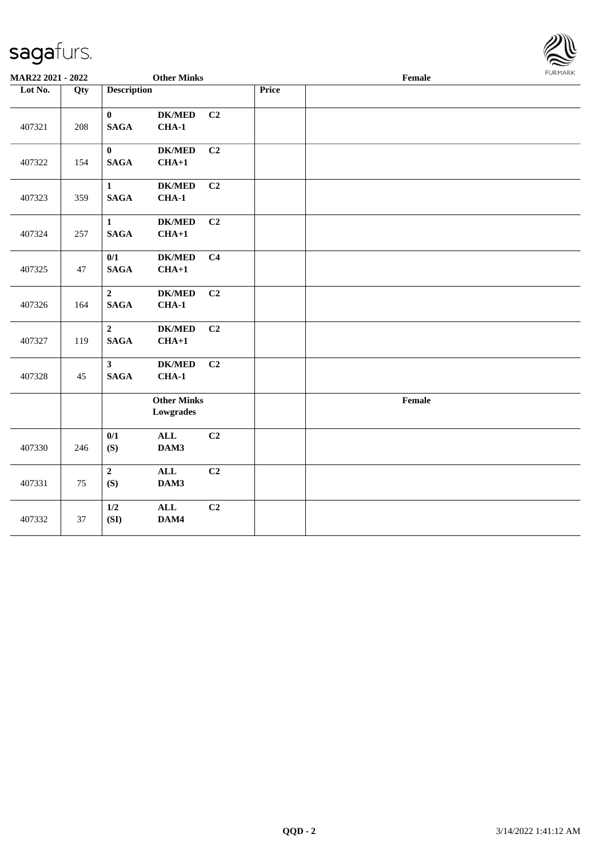

| MAR22 2021 - 2022 |     | <b>Other Minks</b>              |                                 |                |       | Female | <b>FURMARK</b> |
|-------------------|-----|---------------------------------|---------------------------------|----------------|-------|--------|----------------|
| Lot No.           | Qty | <b>Description</b>              |                                 |                | Price |        |                |
| 407321            | 208 | $\mathbf{0}$<br>$\mathbf{SAGA}$ | $DK/MED$<br>$CHA-1$             | C <sub>2</sub> |       |        |                |
| 407322            | 154 | $\mathbf{0}$<br>$\mathbf{SAGA}$ | <b>DK/MED</b><br>$CHA+1$        | C2             |       |        |                |
| 407323            | 359 | $\mathbf{1}$<br><b>SAGA</b>     | $DK/MED$<br>$CHA-1$             | C2             |       |        |                |
| 407324            | 257 | $\mathbf{1}$<br><b>SAGA</b>     | $DK/MED$<br>$CHA+1$             | C2             |       |        |                |
| 407325            | 47  | 0/1<br><b>SAGA</b>              | <b>DK/MED</b><br>$CHA+1$        | C <sub>4</sub> |       |        |                |
| 407326            | 164 | $\overline{2}$<br><b>SAGA</b>   | $DK/MED$<br>$CHA-1$             | C2             |       |        |                |
| 407327            | 119 | $\overline{2}$<br><b>SAGA</b>   | <b>DK/MED</b><br>$CHA+1$        | C2             |       |        |                |
| 407328            | 45  | 3 <sup>1</sup><br><b>SAGA</b>   | $DK/MED$<br>$CHA-1$             | C2             |       |        |                |
|                   |     |                                 | <b>Other Minks</b><br>Lowgrades |                |       | Female |                |
| 407330            | 246 | 0/1<br>(S)                      | $\mathbf{ALL}$<br>DAM3          | C <sub>2</sub> |       |        |                |
| 407331            | 75  | $\overline{2}$<br>(S)           | $\mathbf{ALL}$<br>DAM3          | C <sub>2</sub> |       |        |                |
| 407332            | 37  | $1/2$<br>(SI)                   | $\mathbf{ALL}$<br>DAM4          | C2             |       |        |                |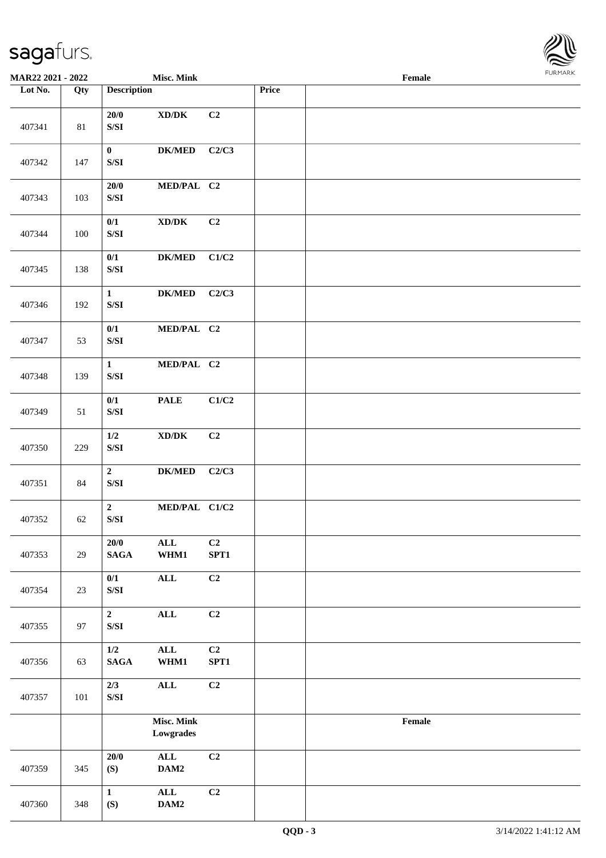

| <b>MAR22 2021 - 2022</b> |         |                                                                                                        | <b>Misc. Mink</b>                   |                        |       | Female |  |
|--------------------------|---------|--------------------------------------------------------------------------------------------------------|-------------------------------------|------------------------|-------|--------|--|
| Lot No.                  | Qty     | <b>Description</b>                                                                                     |                                     |                        | Price |        |  |
| 407341                   | $81\,$  | 20/0<br>$\ensuremath{\mathrm{S}}\xspace/\ensuremath{\mathrm{S}}\xspace\ensuremath{\mathrm{I}}$         | $\bold{X}\bold{D}/\bold{D}\bold{K}$ | C2                     |       |        |  |
| 407342                   | 147     | $\mathbf{0}$<br>$\ensuremath{\mathrm{S}}\xspace/\ensuremath{\mathrm{S}}\xspace\ensuremath{\mathrm{I}}$ | <b>DK/MED</b>                       | C2/C3                  |       |        |  |
| 407343                   | 103     | 20/0<br>$\ensuremath{\mathrm{S}}\xspace/\ensuremath{\mathrm{S}}\xspace\ensuremath{\mathrm{I}}$         | MED/PAL C2                          |                        |       |        |  |
| 407344                   | 100     | 0/1<br>$\ensuremath{\mathrm{S}}\xspace/\ensuremath{\mathrm{S}}\xspace\ensuremath{\mathrm{I}}$          | $\bold{X}\bold{D}/\bold{D}\bold{K}$ | C2                     |       |        |  |
| 407345                   | 138     | 0/1<br>$\ensuremath{\mathrm{S}}\xspace/\ensuremath{\mathrm{S}}\xspace\ensuremath{\mathrm{I}}$          | <b>DK/MED</b>                       | C1/C2                  |       |        |  |
| 407346                   | 192     | $\mathbf{1}$<br>$\ensuremath{\mathrm{S}}\xspace/\ensuremath{\mathrm{S}}\xspace\ensuremath{\mathrm{I}}$ | $DK/MED$                            | C2/C3                  |       |        |  |
| 407347                   | 53      | 0/1<br>$\ensuremath{\mathrm{S}}\xspace/\ensuremath{\mathrm{S}}\xspace\ensuremath{\mathrm{I}}$          | MED/PAL C2                          |                        |       |        |  |
| 407348                   | 139     | $\mathbf{1}$<br>$\ensuremath{\mathrm{S}}\xspace/\ensuremath{\mathrm{S}}\xspace\ensuremath{\mathrm{I}}$ | MED/PAL C2                          |                        |       |        |  |
| 407349                   | 51      | 0/1<br>$\ensuremath{\mathrm{S}}\xspace/\ensuremath{\mathrm{S}}\xspace\ensuremath{\mathrm{I}}$          | <b>PALE</b>                         | C1/C2                  |       |        |  |
| 407350                   | 229     | $1/2$<br>$\ensuremath{\mathrm{S}}\xspace/\ensuremath{\mathrm{S}}\xspace\ensuremath{\mathrm{I}}$        | $\bold{X}\bold{D}/\bold{D}\bold{K}$ | C2                     |       |        |  |
| 407351                   | 84      | $\mathbf 2$<br>$\ensuremath{\mathrm{S}}\xspace/\ensuremath{\mathrm{S}}\xspace\ensuremath{\mathrm{I}}$  | $DK/MED$                            | C2/C3                  |       |        |  |
| 407352                   | 62      | $\mathbf{2}$<br>$\ensuremath{\mathrm{S}}\xspace/\ensuremath{\mathrm{S}}\xspace\ensuremath{\mathrm{I}}$ | MED/PAL C1/C2                       |                        |       |        |  |
| 407353                   | 29      | 20/0<br><b>SAGA</b>                                                                                    | $\mathbf{ALL}$<br>WHM1              | C2<br>SPT1             |       |        |  |
| 407354                   | 23      | 0/1<br>$\ensuremath{\mathrm{S}}\xspace/\ensuremath{\mathrm{S}}\xspace\ensuremath{\mathrm{I}}$          | $\mathbf{ALL}$                      | C2                     |       |        |  |
| 407355                   | 97      | $\mathbf{2}$<br>$\ensuremath{\mathrm{S}}\xspace/\ensuremath{\mathrm{S}}\xspace\ensuremath{\mathrm{I}}$ | <b>ALL</b>                          | C2                     |       |        |  |
| 407356                   | 63      | $1/2$<br>$\mathbf{SAGA}$                                                                               | ALL<br>WHM1                         | C <sub>2</sub><br>SPT1 |       |        |  |
| 407357                   | $101\,$ | 2/3<br>$\ensuremath{\mathrm{S}}\xspace/\ensuremath{\mathrm{S}}\xspace\ensuremath{\mathrm{I}}$          | $\mathbf{ALL}$                      | C2                     |       |        |  |
|                          |         |                                                                                                        | <b>Misc. Mink</b><br>Lowgrades      |                        |       | Female |  |
| 407359                   | 345     | 20/0<br>(S)                                                                                            | ALL<br>DAM2                         | C2                     |       |        |  |
| 407360                   | 348     | $\mathbf{1}$<br>(S)                                                                                    | $\mathbf{ALL}$<br>DAM2              | C2                     |       |        |  |